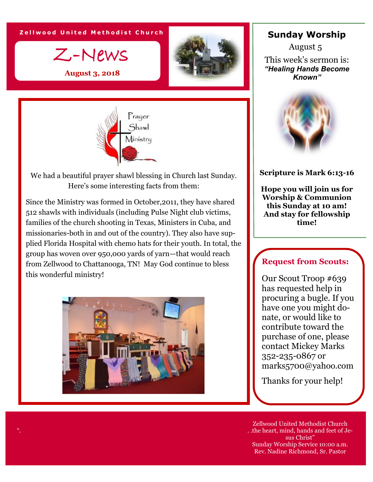**Zellwood United Methodist Church** 



**August 3, 2018**





We had a beautiful prayer shawl blessing in Church last Sunday. Here's some interesting facts from them:

Since the Ministry was formed in October,2011, they have shared 512 shawls with individuals (including Pulse Night club victims, families of the church shooting in Texas, Ministers in Cuba, and missionaries-both in and out of the country). They also have supplied Florida Hospital with chemo hats for their youth. In total, the group has woven over 950,000 yards of yarn—that would reach from Zellwood to Chattanooga, TN! May God continue to bless this wonderful ministry!



#### **Sunday Worship**

This week's sermon is: *"Healing Hands Become Known"* August 5



#### **Scripture is Mark 6:13-16**

**Hope you will join us for Worship & Communion this Sunday at 10 am! And stay for fellowship time!**

#### **Request from Scouts:**

Our Scout Troop #639 has requested help in procuring a bugle. If you have one you might donate, or would like to contribute toward the purchase of one, please contact Mickey Marks 352-235-0867 or marks5700@yahoo.com

Thanks for your help!

Zellwood United Methodist Church . .the heart, mind, hands and feet of Jesus Christ" Sunday Worship Service 10:00 a.m. Rev. Nadine Richmond, Sr. Pastor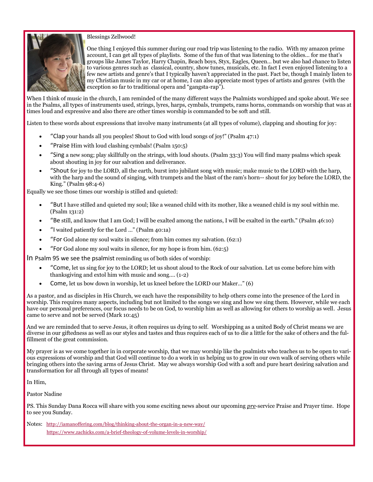

#### Blessings Zellwood!

One thing I enjoyed this summer during our road trip was listening to the radio. With my amazon prime account, I can get all types of playlists. Some of the fun of that was listening to the oldies… for me that's groups like James Taylor, Harry Chapin, Beach boys, Styx, Eagles, Queen… but we also had chance to listen to various genres such as classical, country, show tunes, musicals, etc. In fact I even enjoyed listening to a few new artists and genre's that I typically haven't appreciated in the past. Fact be, though I mainly listen to my Christian music in my car or at home, I can also appreciate most types of artists and genres (with the exception so far to traditional opera and "gangsta-rap").

When I think of music in the church, I am reminded of the many different ways the Psalmists worshipped and spoke about. We see in the Psalms, all types of instruments used, strings, lyres, harps, cymbals, trumpets, rams horns, commands on worship that was at times loud and expressive and also there are other times worship is commanded to be soft and still.

Listen to these words about expressions that involve many instruments (at all types of volume), clapping and shouting for joy:

- "Clap your hands all you peoples! Shout to God with loud songs of joy!" (Psalm 47:1)
- "Praise Him with loud clashing cymbals! (Psalm 150:5)
- "Sing a new song; play skillfully on the strings, with loud shouts. (Psalm 33:3) You will find many psalms which speak about shouting in joy for our salvation and deliverance.
- "Shout for joy to the LORD, all the earth, burst into jubilant song with music; make music to the LORD with the harp, with the harp and the sound of singing, with trumpets and the blast of the ram's horn-- shout for joy before the LORD, the King." (Psalm 98:4-6)

Equally we see those times our worship is stilled and quieted:

- "But I have stilled and quieted my soul; like a weaned child with its mother, like a weaned child is my soul within me. (Psalm 131:2)
- "Be still, and know that I am God; I will be exalted among the nations, I will be exalted in the earth." (Psalm 46:10)
- "I waited patiently for the Lord …" (Psalm 40:1a)
- "For God alone my soul waits in silence; from him comes my salvation. (62:1)
- "For God alone my soul waits in silence, for my hope is from him. (62:5)

In Psalm 95 we see the psalmist reminding us of both sides of worship:

- "Come, let us sing for joy to the LORD; let us shout aloud to the Rock of our salvation. Let us come before him with thanksgiving and extol him with music and song…. (1-2)
- Come, let us bow down in worship, let us kneel before the LORD our Maker…" (6)

As a pastor, and as disciples in His Church, we each have the responsibility to help others come into the presence of the Lord in worship. This requires many aspects, including but not limited to the songs we sing and how we sing them. However, while we each have our personal preferences, our focus needs to be on God, to worship him as well as allowing for others to worship as well. Jesus came to serve and not be served (Mark 10:45)

And we are reminded that to serve Jesus, it often requires us dying to self. Worshipping as a united Body of Christ means we are diverse in our giftedness as well as our styles and tastes and thus requires each of us to die a little for the sake of others and the fulfillment of the great commission.

My prayer is as we come together in in corporate worship, that we may worship like the psalmists who teaches us to be open to various expressions of worship and that God will continue to do a work in us helping us to grow in our own walk of serving others while bringing others into the saving arms of Jesus Christ. May we always worship God with a soft and pure heart desiring salvation and transformation for all through all types of means!

In Him,

Pastor Nadine

PS. This Sunday Dana Rocca will share with you some exciting news about our upcoming *pre*-service Praise and Prayer time. Hope to see you Sunday.

Notes: <http://iamanoffering.com/blog/thinking-about-the-organ-in-a-new-way/> <https://www.zachicks.com/a-brief-theology-of-volume-levels-in-worship/>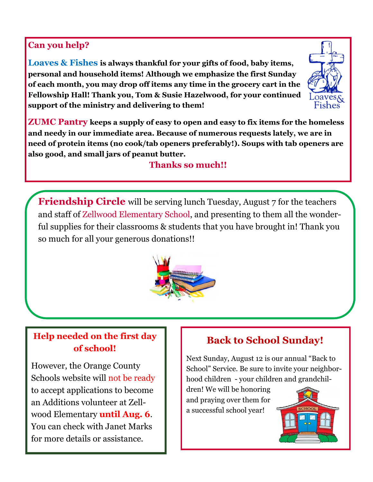### **Can you help?**

**Loaves & Fishes is always thankful for your gifts of food, baby items, personal and household items! Although we emphasize the first Sunday of each month, you may drop off items any time in the grocery cart in the Fellowship Hall! Thank you, Tom & Susie Hazelwood, for your continued support of the ministry and delivering to them!**



**ZUMC Pantry keeps a supply of easy to open and easy to fix items for the homeless and needy in our immediate area. Because of numerous requests lately, we are in need of protein items (no cook/tab openers preferably!). Soups with tab openers are also good, and small jars of peanut butter.**

## **Thanks so much!!**

**Friendship Circle** will be serving lunch Tuesday, August 7 for the teachers and staff of Zellwood Elementary School, and presenting to them all the wonderful supplies for their classrooms & students that you have brought in! Thank you so much for all your generous donations!!



## **Help needed on the first day of school!**

However, the Orange County Schools website will not be ready to accept applications to become an Additions volunteer at Zellwood Elementary **until Aug. 6**. You can check with Janet Marks for more details or assistance.

## **Back to School Sunday!**

Next Sunday, August 12 is our annual "Back to School" Service. Be sure to invite your neighborhood children - your children and grandchil-

dren! We will be honoring and praying over them for a successful school year!